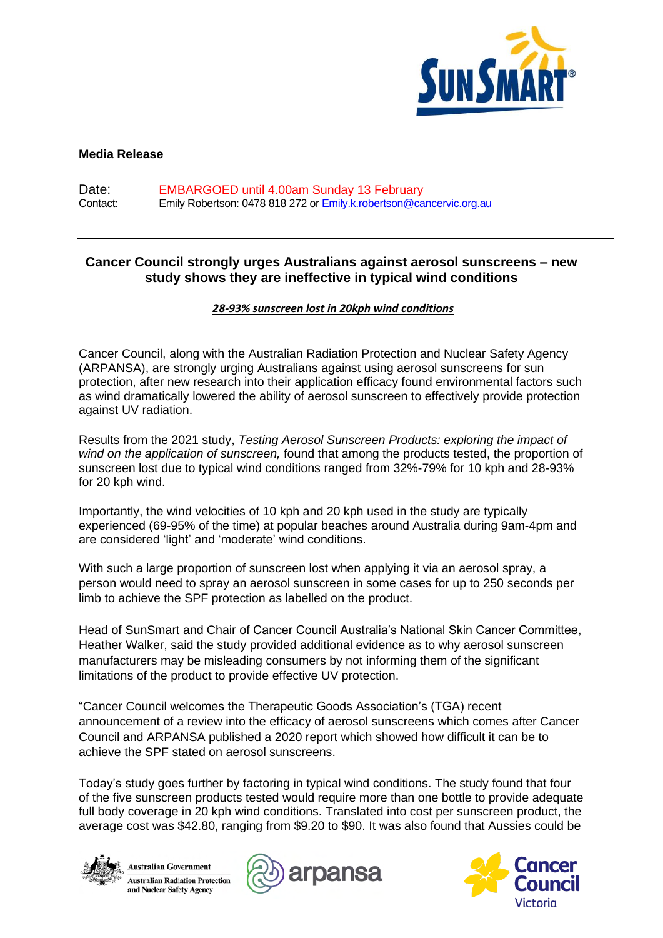

## **Media Release**

Date: EMBARGOED until 4.00am Sunday 13 February Contact: Emily Robertson: 0478 818 272 or Emily.k.robertson@cancervic.org.au

# **Cancer Council strongly urges Australians against aerosol sunscreens – new study shows they are ineffective in typical wind conditions**

### *28-93% sunscreen lost in 20kph wind conditions*

Cancer Council, along with the Australian Radiation Protection and Nuclear Safety Agency (ARPANSA), are strongly urging Australians against using aerosol sunscreens for sun protection, after new research into their application efficacy found environmental factors such as wind dramatically lowered the ability of aerosol sunscreen to effectively provide protection against UV radiation.

Results from the 2021 study, *Testing Aerosol Sunscreen Products: exploring the impact of wind on the application of sunscreen,* found that among the products tested, the proportion of sunscreen lost due to typical wind conditions ranged from 32%-79% for 10 kph and 28-93% for 20 kph wind.

Importantly, the wind velocities of 10 kph and 20 kph used in the study are typically experienced (69-95% of the time) at popular beaches around Australia during 9am-4pm and are considered 'light' and 'moderate' wind conditions.

With such a large proportion of sunscreen lost when applying it via an aerosol spray, a person would need to spray an aerosol sunscreen in some cases for up to 250 seconds per limb to achieve the SPF protection as labelled on the product.

Head of SunSmart and Chair of Cancer Council Australia's National Skin Cancer Committee, Heather Walker, said the study provided additional evidence as to why aerosol sunscreen manufacturers may be misleading consumers by not informing them of the significant limitations of the product to provide effective UV protection.

"Cancer Council welcomes the Therapeutic Goods Association's (TGA) recent announcement of a review into the efficacy of aerosol sunscreens which comes after Cancer Council and ARPANSA published a 2020 report which showed how difficult it can be to achieve the SPF stated on aerosol sunscreens.

Today's study goes further by factoring in typical wind conditions. The study found that four of the five sunscreen products tested would require more than one bottle to provide adequate full body coverage in 20 kph wind conditions. Translated into cost per sunscreen product, the average cost was \$42.80, ranging from \$9.20 to \$90. It was also found that Aussies could be





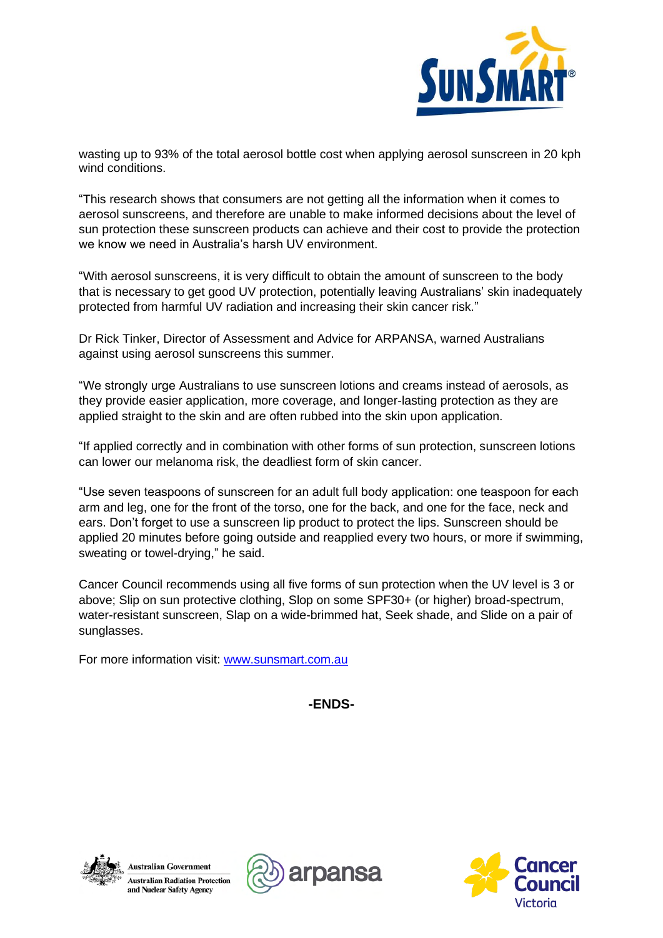

wasting up to 93% of the total aerosol bottle cost when applying aerosol sunscreen in 20 kph wind conditions.

"This research shows that consumers are not getting all the information when it comes to aerosol sunscreens, and therefore are unable to make informed decisions about the level of sun protection these sunscreen products can achieve and their cost to provide the protection we know we need in Australia's harsh UV environment.

"With aerosol sunscreens, it is very difficult to obtain the amount of sunscreen to the body that is necessary to get good UV protection, potentially leaving Australians' skin inadequately protected from harmful UV radiation and increasing their skin cancer risk."

Dr Rick Tinker, Director of Assessment and Advice for ARPANSA, warned Australians against using aerosol sunscreens this summer.

"We strongly urge Australians to use sunscreen lotions and creams instead of aerosols, as they provide easier application, more coverage, and longer-lasting protection as they are applied straight to the skin and are often rubbed into the skin upon application.

"If applied correctly and in combination with other forms of sun protection, sunscreen lotions can lower our melanoma risk, the deadliest form of skin cancer.

"Use seven teaspoons of sunscreen for an adult full body application: one teaspoon for each arm and leg, one for the front of the torso, one for the back, and one for the face, neck and ears. Don't forget to use a sunscreen lip product to protect the lips. Sunscreen should be applied 20 minutes before going outside and reapplied every two hours, or more if swimming, sweating or towel-drying," he said.

Cancer Council recommends using all five forms of sun protection when the UV level is 3 or above; Slip on sun protective clothing, Slop on some SPF30+ (or higher) broad-spectrum, water-resistant sunscreen, Slap on a wide-brimmed hat, Seek shade, and Slide on a pair of sunglasses.

For more information visit: [www.sunsmart.com.au](http://www.sunsmart.com.au/)

**-ENDS-**





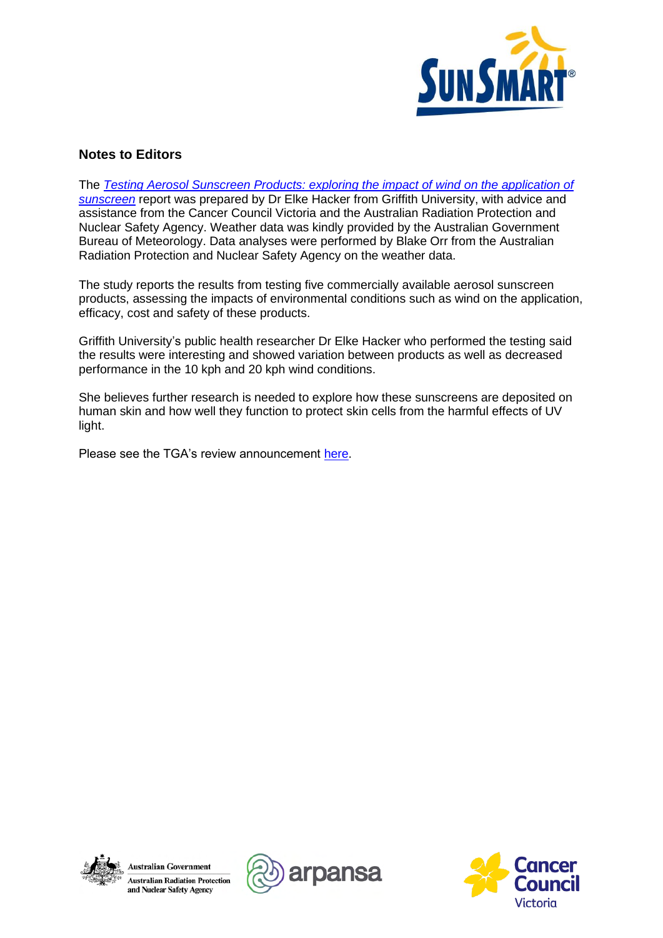

# **Notes to Editors**

The *[Testing Aerosol Sunscreen Products:](https://www.arpansa.gov.au/sites/default/files/aerosol_sunscreen_report_november_2021.pdf) exploring the impact of wind on the application of sunscreen* report was prepared by Dr Elke Hacker from Griffith University, with advice and assistance from the Cancer Council Victoria and the Australian Radiation Protection and Nuclear Safety Agency. Weather data was kindly provided by the Australian Government Bureau of Meteorology. Data analyses were performed by Blake Orr from the Australian Radiation Protection and Nuclear Safety Agency on the weather data.

The study reports the results from testing five commercially available aerosol sunscreen products, assessing the impacts of environmental conditions such as wind on the application, efficacy, cost and safety of these products.

Griffith University's public health researcher Dr Elke Hacker who performed the testing said the results were interesting and showed variation between products as well as decreased performance in the 10 kph and 20 kph wind conditions.

She believes further research is needed to explore how these sunscreens are deposited on human skin and how well they function to protect skin cells from the harmful effects of UV light.

Please see the TGA's review announcement [here.](https://www.tga.gov.au/listed-aerosol-sunscreen-products#:~:text=The%20TGA%20will%20target%20a%20selection%20of%20aerosol,requirements%20relevant%20to%20efficacy%20when%20used%20as%20intended.)